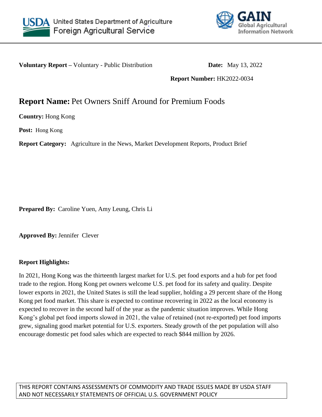



**Voluntary Report –** Voluntary - Public Distribution **Date:** May 13, 2022

**Report Number:** HK2022-0034

# **Report Name:** Pet Owners Sniff Around for Premium Foods

**Country:** Hong Kong

**Post:** Hong Kong

**Report Category:** Agriculture in the News, Market Development Reports, Product Brief

**Prepared By:** Caroline Yuen, Amy Leung, Chris Li

**Approved By:** Jennifer Clever

## **Report Highlights:**

In 2021, Hong Kong was the thirteenth largest market for U.S. pet food exports and a hub for pet food trade to the region. Hong Kong pet owners welcome U.S. pet food for its safety and quality. Despite lower exports in 2021, the United States is still the lead supplier, holding a 29 percent share of the Hong Kong pet food market. This share is expected to continue recovering in 2022 as the local economy is expected to recover in the second half of the year as the pandemic situation improves. While Hong Kong's global pet food imports slowed in 2021, the value of retained (not re-exported) pet food imports grew, signaling good market potential for U.S. exporters. Steady growth of the pet population will also encourage domestic pet food sales which are expected to reach \$844 million by 2026.

THIS REPORT CONTAINS ASSESSMENTS OF COMMODITY AND TRADE ISSUES MADE BY USDA STAFF AND NOT NECESSARILY STATEMENTS OF OFFICIAL U.S. GOVERNMENT POLICY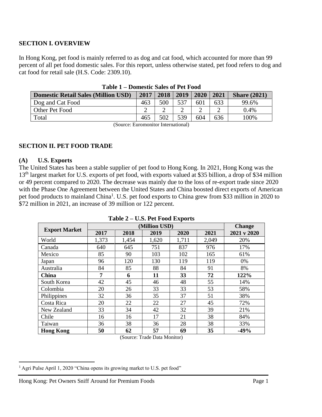## **SECTION I. OVERVIEW**

In Hong Kong, pet food is mainly referred to as dog and cat food, which accounted for more than 99 percent of all pet food domestic sales. For this report, unless otherwise stated, pet food refers to dog and cat food for retail sale (H.S. Code: 2309.10).

|                                            | <b>D</b> UMWUU U U U U U U U U U U U U |      |      |      |      |                     |
|--------------------------------------------|----------------------------------------|------|------|------|------|---------------------|
| <b>Domestic Retail Sales (Million USD)</b> | 2017                                   | 2018 | 2019 | 2020 | 2021 | <b>Share (2021)</b> |
| Dog and Cat Food                           | 463                                    | 500  | 537  | 601  | 633  | 99.6%               |
| Other Pet Food                             |                                        |      |      |      |      | 0.4%                |
| Total                                      | 465                                    | 502  | 539  | 604  | 636  | 100%                |
|                                            |                                        |      |      |      |      |                     |

**Table 1 – Domestic Sales of Pet Food**

(Source: Euromonitor International)

## **SECTION II. PET FOOD TRADE**

#### **(A) U.S. Exports**

 $\overline{\phantom{a}}$ 

The United States has been a stable supplier of pet food to Hong Kong. In 2021, Hong Kong was the 13<sup>th</sup> largest market for U.S. exports of pet food, with exports valued at \$35 billion, a drop of \$34 million or 49 percent compared to 2020. The decrease was mainly due to the loss of re-export trade since 2020 with the Phase One Agreement between the United States and China boosted direct exports of American pet food products to mainland China<sup>1</sup>. U.S. pet food exports to China grew from \$33 million in 2020 to \$72 million in 2021, an increase of 39 million or 122 percent.

|  |  |  |  |  | Table 2 – U.S. Pet Food Exports |
|--|--|--|--|--|---------------------------------|
|--|--|--|--|--|---------------------------------|

|                      |       |       | (Million USD) |       |       | <b>Change</b> |
|----------------------|-------|-------|---------------|-------|-------|---------------|
| <b>Export Market</b> | 2017  | 2018  | 2019          | 2020  | 2021  | 2021 v 2020   |
| World                | 1,373 | 1,454 | 1,620         | 1,711 | 2,049 | 20%           |
| Canada               | 640   | 645   | 751           | 837   | 976   | 17%           |
| Mexico               | 85    | 90    | 103           | 102   | 165   | 61%           |
| Japan                | 96    | 120   | 130           | 119   | 119   | 0%            |
| Australia            | 84    | 85    | 88            | 84    | 91    | 8%            |
| China                | 7     | 6     | 11            | 33    | 72    | 122%          |
| South Korea          | 42    | 45    | 46            | 48    | 55    | 14%           |
| Colombia             | 20    | 26    | 33            | 33    | 53    | 58%           |
| Philippines          | 32    | 36    | 35            | 37    | 51    | 38%           |
| Costa Rica           | 20    | 22    | 22            | 27    | 45    | 72%           |
| New Zealand          | 33    | 34    | 42            | 32    | 39    | 21%           |
| Chile                | 16    | 16    | 17            | 21    | 38    | 84%           |
| Taiwan               | 36    | 38    | 36            | 28    | 38    | 33%           |
| <b>Hong Kong</b>     | 50    | 62    | 57            | 69    | 35    | $-49%$        |

(Source: Trade Data Monitor)

<sup>&</sup>lt;sup>1</sup> Agri Pulse April 1, 2020 "China opens its growing market to U.S. pet food"

Hong Kong: Pet Owners Sniff Around for Premium Foods Page 1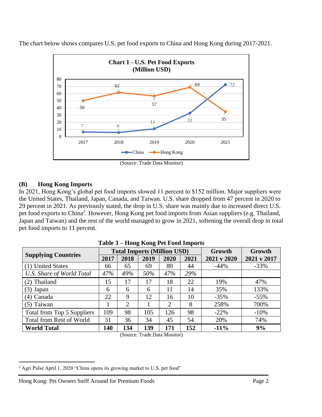

The chart below shows compares U.S. pet food exports to China and Hong Kong during 2017-2021.

## **(B) Hong Kong Imports**

In 2021, Hong Kong's global pet food imports slowed 11 percent to \$152 million. Major suppliers were the United States, Thailand, Japan, Canada, and Taiwan. U.S. share dropped from 47 percent in 2020 to 29 percent in 2021. As previously stated, the drop in U.S. share was mainly due to increased direct U.S. pet food exports to China<sup>2</sup>. However, Hong Kong pet food imports from Asian suppliers (e.g. Thailand, Japan and Taiwan) and the rest of the world managed to grow in 2021, softening the overall drop in total pet food imports to 11 percent.

| $-0.0000$ $-0.0000$ $-0.0000$ $-0.0000$ |      |                |                                    |        |        |             |             |
|-----------------------------------------|------|----------------|------------------------------------|--------|--------|-------------|-------------|
|                                         |      |                | <b>Total Imports (Million USD)</b> | Growth | Growth |             |             |
| <b>Supplying Countries</b>              | 2017 | 2018           | 2019                               | 2020   | 2021   | 2021 v 2020 | 2021 v 2017 |
| (1) United States                       | 66   | 65             | 69                                 | 80     | 44     | $-44%$      | $-33\%$     |
| <b>U.S. Share of World Total</b>        | 47%  | 49%            | 50%                                | 47%    | 29%    |             |             |
| (2) Thailand                            | 15   | 17             | 17                                 | 18     | 22     | 19%         | 47%         |
| $(3)$ Japan                             | 6    | 6              | 6                                  | 11     | 14     | 35%         | 133%        |
| $(4)$ Canada                            | 22   | 9              | 12                                 | 16     | 10     | $-35%$      | $-55%$      |
| $(5)$ Taiwan                            |      | $\overline{2}$ |                                    | 2      | 8      | 258%        | 700%        |
| Total from Top 5 Suppliers              | 109  | 98             | 105                                | 126    | 98     | $-22\%$     | $-10%$      |
| Total from Rest of World                | 31   | 36             | 34                                 | 45     | 54     | 20%         | 74%         |
| <b>World Total</b>                      | 140  | 134            | 139                                | 171    | 152    | $-11%$      | 9%          |

**Table 3 – Hong Kong Pet Food Imports**

(Source: Trade Data Monitor)

<sup>&</sup>lt;sup>2</sup> Agri Pulse April 1, 2020 "China opens its growing market to U.S. pet food"

Hong Kong: Pet Owners Sniff Around for Premium Foods Page 2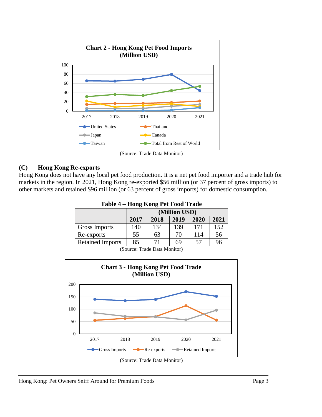

(Source: Trade Data Monitor)

## **(C) Hong Kong Re-exports**

Hong Kong does not have any local pet food production. It is a net pet food importer and a trade hub for markets in the region. In 2021, Hong Kong re-exported \$56 million (or 37 percent of gross imports) to other markets and retained \$96 million (or 63 percent of gross imports) for domestic consumption.

| $1$ avic $\rightarrow$ - $110$ llg Rollg I ct Food Trade |                                      |     |     |     |     |  |  |  |  |
|----------------------------------------------------------|--------------------------------------|-----|-----|-----|-----|--|--|--|--|
|                                                          | (Million USD)                        |     |     |     |     |  |  |  |  |
|                                                          | 2021<br>2017<br>2018<br>2019<br>2020 |     |     |     |     |  |  |  |  |
| Gross Imports                                            | 140                                  | 134 | 139 | 171 | 152 |  |  |  |  |
| Re-exports                                               | 55                                   | 63  | 70  | 114 | 56  |  |  |  |  |
| <b>Retained Imports</b>                                  | 85                                   | 71  | 69  | 57  | 96  |  |  |  |  |

**Table 4 – Hong Kong Pet Food Trade**

(Source: Trade Data Monitor)

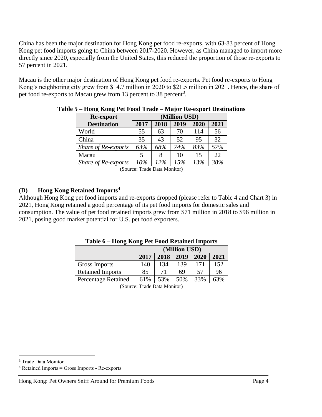China has been the major destination for Hong Kong pet food re-exports, with 63-83 percent of Hong Kong pet food imports going to China between 2017-2020. However, as China managed to import more directly since 2020, especially from the United States, this reduced the proportion of those re-exports to 57 percent in 2021.

Macau is the other major destination of Hong Kong pet food re-exports. Pet food re-exports to Hong Kong's neighboring city grew from \$14.7 million in 2020 to \$21.5 million in 2021. Hence, the share of pet food re-exports to Macau grew from 13 percent to 38 percent<sup>3</sup>.

| Re-export           | (Million USD) |      |      |      |      |  |  |  |  |
|---------------------|---------------|------|------|------|------|--|--|--|--|
| <b>Destination</b>  | 2017          | 2018 | 2019 | 2020 | 2021 |  |  |  |  |
| World               | 55            | 63   | 70   | 114  | 56   |  |  |  |  |
| China               | 35            | 43   | 52   | 95   | 32   |  |  |  |  |
| Share of Re-exports | 63%           | 68%  | 74%  | 83%  | 57%  |  |  |  |  |
| Macau               |               | 8    | 10   | 15   | 22.  |  |  |  |  |
| Share of Re-exports | 10%           | 12%  | 15%  | 13%  | 38%  |  |  |  |  |

#### **Table 5 – Hong Kong Pet Food Trade – Major Re-export Destinations**

(Source: Trade Data Monitor)

## **(D) Hong Kong Retained Imports**<sup>4</sup>

Although Hong Kong pet food imports and re-exports dropped (please refer to Table 4 and Chart 3) in 2021, Hong Kong retained a good percentage of its pet food imports for domestic sales and consumption. The value of pet food retained imports grew from \$71 million in 2018 to \$96 million in 2021, posing good market potential for U.S. pet food exporters.

|                            | (Million USD) |      |      |      |      |  |  |  |
|----------------------------|---------------|------|------|------|------|--|--|--|
|                            | 2017          | 2018 | 2019 | 2020 | 2021 |  |  |  |
| <b>Gross Imports</b>       | 140           | 134  | 139  | 171  | 152  |  |  |  |
| <b>Retained Imports</b>    | 85            | 71   | 69   | 57   | 96   |  |  |  |
| <b>Percentage Retained</b> | 61%           | 53%  | 50%  | 33%  | 63%  |  |  |  |

## **Table 6 – Hong Kong Pet Food Retained Imports**

(Source: Trade Data Monitor)

<sup>3</sup> Trade Data Monitor

 $4$  Retained Imports = Gross Imports - Re-exports

Hong Kong: Pet Owners Sniff Around for Premium Foods Page 4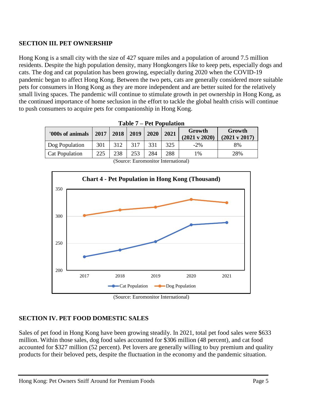## **SECTION III. PET OWNERSHIP**

Hong Kong is a small city with the size of 427 square miles and a population of around 7.5 million residents. Despite the high population density, many Hongkongers like to keep pets, especially dogs and cats. The dog and cat population has been growing, especially during 2020 when the COVID-19 pandemic began to affect Hong Kong. Between the two pets, cats are generally considered more suitable pets for consumers in Hong Kong as they are more independent and are better suited for the relatively small living spaces. The pandemic will continue to stimulate growth in pet ownership in Hong Kong, as the continued importance of home seclusion in the effort to tackle the global health crisis will continue to push consumers to acquire pets for companionship in Hong Kong.

| '000s of animals | 2017 | 2018 | 2019 | 2020 | 2021 | Growth<br>$(2021 \text{ y } 2020)$ | Growth<br>$(2021 \text{ v } 2017)$ |
|------------------|------|------|------|------|------|------------------------------------|------------------------------------|
| Dog Population   | 301  | 312  | 317  | 331  | 325  | $-2\%$                             | 8%                                 |
| Cat Population   | 225  | 238  | 253  | 284  | 288  | 1%                                 | 28%                                |
|                  |      |      |      |      |      |                                    |                                    |

|  | <b>Table 7 – Pet Population</b> |
|--|---------------------------------|
|  |                                 |



(Source: Euromonitor International)

## **SECTION IV. PET FOOD DOMESTIC SALES**

Sales of pet food in Hong Kong have been growing steadily. In 2021, total pet food sales were \$633 million. Within those sales, dog food sales accounted for \$306 million (48 percent), and cat food accounted for \$327 million (52 percent). Pet lovers are generally willing to buy premium and quality products for their beloved pets, despite the fluctuation in the economy and the pandemic situation.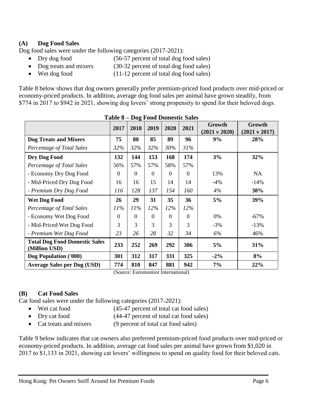## **(A) Dog Food Sales**

Dog food sales were under the following categories (2017-2021):

- Dry dog food (56-57 percent of total dog food sales)
- Dog treats and mixers (30-32 percent of total dog food sales)
- Wet dog food (11-12 percent of total dog food sales)

Table 8 below shows that dog owners generally prefer premium-priced food products over mid-priced or economy-priced products. In addition, average dog food sales per animal have grown steadily, from \$774 in 2017 to \$942 in 2021, showing dog lovers' strong propensity to spend for their beloved dogs.

|                                                       | TUNIÇ Q  |          |          |          | Dog I ood Domestic Barcs |                                    |                                    |
|-------------------------------------------------------|----------|----------|----------|----------|--------------------------|------------------------------------|------------------------------------|
|                                                       | 2017     | 2018     | 2019     | 2020     | 2021                     | Growth<br>$(2021 \text{ v } 2020)$ | Growth<br>$(2021 \text{ v } 2017)$ |
| <b>Dog Treats and Mixers</b>                          | 75       | 80       | 85       | 89       | 96                       | 9%                                 | 28%                                |
| Percentage of Total Sales                             | 32%      | 32%      | 32%      | 30%      | 31%                      |                                    |                                    |
| Dry Dog Food                                          | 132      | 144      | 153      | 168      | 174                      | 3%                                 | 32%                                |
| Percentage of Total Sales                             | 56%      | 57%      | 57%      | 58%      | 57%                      |                                    |                                    |
| - Economy Dry Dog Food                                | $\Omega$ | $\theta$ | $\Omega$ | $\theta$ | $\Omega$                 | 13%                                | NA                                 |
| - Mid-Priced Dry Dog Food                             | 16       | 16       | 15       | 14       | 14                       | $-4%$                              | $-14%$                             |
| - Premium Dry Dog Food                                | 116      | 128      | 137      | 154      | 160                      | 4%                                 | 38%                                |
| <b>Wet Dog Food</b>                                   | 26       | 29       | 31       | 35       | 36                       | 5%                                 | 39%                                |
| Percentage of Total Sales                             | 11%      | 11%      | 12%      | 12%      | $12\%$                   |                                    |                                    |
| - Economy Wet Dog Food                                | $\theta$ | $\Omega$ | $\Omega$ | $\Omega$ | $\Omega$                 | 0%                                 | $-67%$                             |
| - Mid-Priced Wet Dog Food                             | 3        | 3        | 3        | 3        | 3                        | $-3%$                              | $-13%$                             |
| - Premium Wet Dog Food                                | 23       | 26       | 28       | 32       | 34                       | 6%                                 | 46%                                |
| <b>Total Dog Food Domestic Sales</b><br>(Million USD) | 233      | 252      | 269      | 292      | 306                      | 5%                                 | 31%                                |
| Dog Population ('000)                                 | 301      | 312      | 317      | 331      | 325                      | $-2\%$                             | 8%                                 |
| <b>Average Sales per Dog (USD)</b>                    | 774      | 810      | 847      | 881      | 942                      | 7%                                 | 22%                                |

**Table 8 – Dog Food Domestic Sales**

(Source: Euromonitor International)

## **(B) Cat Food Sales**

Cat food sales were under the following categories (2017-2021):

- Wet cat food (45-47 percent of total cat food sales)
- Dry cat food (44-47 percent of total cat food sales)
- Cat treats and mixers (9 percent of total cat food sales)

Table 9 below indicates that cat owners also preferred premium-priced food products over mid-priced or economy-priced products. In addition, average cat food sales per animal have grown from \$1,020 in 2017 to \$1,133 in 2021, showing cat lovers' willingness to spend on quality food for their beloved cats.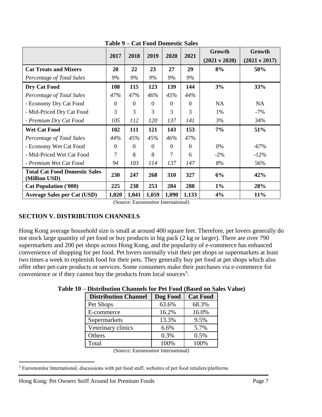|                                                       | 2017     | 2018     | 2019           | 2020     | 2021     | Growth<br>$(2021 \text{ v } 2020)$ | Growth<br>$(2021 \text{ v } 2017)$ |
|-------------------------------------------------------|----------|----------|----------------|----------|----------|------------------------------------|------------------------------------|
| <b>Cat Treats and Mixers</b>                          | 20       | 22       | 23             | 27       | 29       | 8%                                 | 50%                                |
| Percentage of Total Sales                             | 9%       | 9%       | 9%             | 9%       | 9%       |                                    |                                    |
| Dry Cat Food                                          | 108      | 115      | 123            | 139      | 144      | 3%                                 | 33%                                |
| Percentage of Total Sales                             | 47%      | 47%      | 46%            | 45%      | 44%      |                                    |                                    |
| - Economy Dry Cat Food                                | $\theta$ | $\Omega$ | $\overline{0}$ | $\Omega$ | $\Omega$ | <b>NA</b>                          | <b>NA</b>                          |
| - Mid-Priced Dry Cat Food                             | 3        | 3        | 3              | 3        | 3        | 1%                                 | $-7\%$                             |
| - Premium Dry Cat Food                                | 105      | 112      | 120            | 137      | 141      | 3%                                 | 34%                                |
| <b>Wet Cat Food</b>                                   | 102      | 111      | 121            | 143      | 153      | 7%                                 | 51%                                |
| Percentage of Total Sales                             | 44%      | 45%      | 45%            | 46%      | 47%      |                                    |                                    |
| - Economy Wet Cat Food                                | $\Omega$ | $\Omega$ | 0              | $\Omega$ | $\Omega$ | 0%                                 | $-67\%$                            |
| - Mid-Priced Wet Cat Food                             | 7        | 8        | 8              | 7        | 6        | $-2\%$                             | $-12\%$                            |
| - Premium Wet Cat Food                                | 94       | 103      | 114            | 137      | 147      | 8%                                 | 56%                                |
| <b>Total Cat Food Domestic Sales</b><br>(Million USD) | 230      | 247      | 268            | 310      | 327      | 6%                                 | 42%                                |
| <b>Cat Population ('000)</b>                          | 225      | 238      | 253            | 284      | 288      | $1\%$                              | 28%                                |
| <b>Average Sales per Cat (USD)</b>                    | 1,020    | 1,041    | 1,059          | 1,090    | 1,133    | 4%                                 | 11%                                |

**Table 9 – Cat Food Domestic Sales**

(Source: Euromonitor International)

## **SECTION V. DISTRIBUTION CHANNELS**

Hong Kong average household size is small at around 400 square feet. Therefore, pet lovers generally do not stock large quantity of pet food or buy products in big pack (2 kg or larger). There are over 790 supermarkets and 200 pet shops across Hong Kong, and the popularity of e-commerce has enhanced convenience of shopping for pet food. Pet lovers normally visit their pet shops or supermarkets at least two times a week to replenish food for their pets. They generally buy pet food at pet shops which also offer other pet-care products or services. Some consumers make their purchases via e-commerce for convenience or if they cannot buy the products from local sources<sup>5</sup>.

| <b>Distribution Channel</b> | Dog Food | <b>Cat Food</b> |
|-----------------------------|----------|-----------------|
| Pet Shops                   | 63.6%    | 68.3%           |
| E-commerce                  | 16.2%    | 16.0%           |
| Supermarkets                | 13.3%    | 9.5%            |
| Veterinary clinics          | 6.6%     | 5.7%            |
| Others                      | 0.3%     | 0.5%            |
| Total                       | 100%     | 100%            |

## **Table 10 – Distribution Channels for Pet Food (Based on Sales Value)**

(Source: Euromonitor International)

<sup>5</sup> Euromonitor International, discussions with pet food staff, websites of pet food retailers/platforms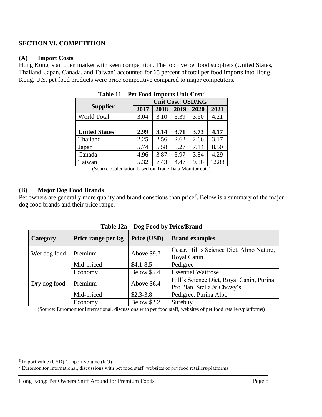## **SECTION VI. COMPETITION**

#### **(A) Import Costs**

Hong Kong is an open market with keen competition. The top five pet food suppliers (United States, Thailand, Japan, Canada, and Taiwan) accounted for 65 percent of total per food imports into Hong Kong. U.S. pet food products were price competitive compared to major competitors.

| $1$ able $11 - 1$ et $\Gamma$ over $\Gamma$ imports $\Gamma$ and $\Gamma$ cost |                          |      |      |      |       |
|--------------------------------------------------------------------------------|--------------------------|------|------|------|-------|
|                                                                                | <b>Unit Cost: USD/KG</b> |      |      |      |       |
| <b>Supplier</b>                                                                | 2017                     | 2018 | 2019 | 2020 | 2021  |
| World Total                                                                    | 3.04                     | 3.10 | 3.39 | 3.60 | 4.21  |
|                                                                                |                          |      |      |      |       |
| <b>United States</b>                                                           | 2.99                     | 3.14 | 3.71 | 3.73 | 4.17  |
| Thailand                                                                       | 2.25                     | 2.56 | 2.62 | 2.66 | 3.17  |
| Japan                                                                          | 5.74                     | 5.58 | 5.27 | 7.14 | 8.50  |
| Canada                                                                         | 4.96                     | 3.87 | 3.97 | 3.84 | 4.29  |
| Taiwan                                                                         | 5.32                     | 7.43 | 4.47 | 9.86 | 12.88 |

| Table 11 - Pet Food Imports Unit Cost <sup>6</sup> |  |
|----------------------------------------------------|--|
|----------------------------------------------------|--|

(Source: Calculation based on Trade Data Monitor data)

#### **(B) Major Dog Food Brands**

Pet owners are generally more quality and brand conscious than price<sup>7</sup>. Below is a summary of the major dog food brands and their price range.

| Category     | Price range per kg | 0<br>Price (USD)   | <b>Brand examples</b>                                                  |
|--------------|--------------------|--------------------|------------------------------------------------------------------------|
| Wet dog food | Premium            | Above \$9.7        | Cesar, Hill's Science Diet, Almo Nature,<br>Royal Canin                |
|              | Mid-priced         | $$4.1 - 8.5$       | Pedigree                                                               |
|              | Economy            | <b>Below \$5.4</b> | <b>Essential Waitrose</b>                                              |
| Dry dog food | Premium            | Above \$6.4        | Hill's Science Diet, Royal Canin, Purina<br>Pro Plan, Stella & Chewy's |
|              | Mid-priced         | $$2.3-3.8$         | Pedigree, Purina Alpo                                                  |
|              | Economy            | <b>Below \$2.2</b> | Surebuy                                                                |

**Table 12a – Dog Food by Price/Brand**

(Source: Euromonitor International, discussions with pet food staff, websites of pet food retailers/platforms)

<sup>6</sup> Import value (USD) / Import volume (KG)

<sup>7</sup> Euromonitor International, discussions with pet food staff, websites of pet food retailers/platforms

Hong Kong: Pet Owners Sniff Around for Premium Foods Page 8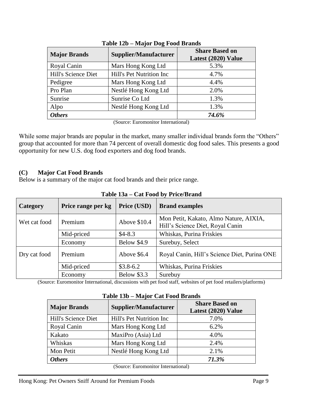| <b>Major Brands</b> | <b>Supplier/Manufacturer</b> | <b>Share Based on</b><br>Latest (2020) Value |  |
|---------------------|------------------------------|----------------------------------------------|--|
| Royal Canin         | Mars Hong Kong Ltd           | 5.3%                                         |  |
| Hill's Science Diet | Hill's Pet Nutrition Inc     | 4.7%                                         |  |
| Pedigree            | Mars Hong Kong Ltd           | 4.4%                                         |  |
| Pro Plan            | Nestlé Hong Kong Ltd         | 2.0%                                         |  |
| Sunrise             | Sunrise Co Ltd               | 1.3%                                         |  |
| Alpo                | Nestlé Hong Kong Ltd         | 1.3%                                         |  |
| <b>Others</b>       |                              | 74.6%                                        |  |

**Table 12b – Major Dog Food Brands**

(Source: Euromonitor International)

While some major brands are popular in the market, many smaller individual brands form the "Others" group that accounted for more than 74 percent of overall domestic dog food sales. This presents a good opportunity for new U.S. dog food exporters and dog food brands.

## **(C) Major Cat Food Brands**

Below is a summary of the major cat food brands and their price range.

| Category     | Price range per kg | Price (USD)        | <b>Brand examples</b>                                                      |
|--------------|--------------------|--------------------|----------------------------------------------------------------------------|
| Wet cat food | Premium            | Above \$10.4       | Mon Petit, Kakato, Almo Nature, AIXIA,<br>Hill's Science Diet, Royal Canin |
|              | Mid-priced         | $$4-8.3$           | Whiskas, Purina Friskies                                                   |
|              | Economy            | Below \$4.9        | Surebuy, Select                                                            |
| Dry cat food | Premium            | Above $$6.4$       | Royal Canin, Hill's Science Diet, Purina ONE                               |
|              | Mid-priced         | $$3.8-6.2$         | Whiskas, Purina Friskies                                                   |
|              | Economy            | <b>Below \$3.3</b> | Surebuy                                                                    |

**Table 13a – Cat Food by Price/Brand**

(Source: Euromonitor International, discussions with pet food staff, websites of pet food retailers/platforms)

**Table 13b – Major Cat Food Brands**

| <b>Major Brands</b>                 | <b>Supplier/Manufacturer</b> | <b>Share Based on</b><br>Latest (2020) Value |  |
|-------------------------------------|------------------------------|----------------------------------------------|--|
| Hill's Science Diet                 | Hill's Pet Nutrition Inc     | 7.0%                                         |  |
| Royal Canin                         | Mars Hong Kong Ltd           | 6.2%                                         |  |
| Kakato                              | MaxiPro (Asia) Ltd           | 4.0%                                         |  |
| Whiskas                             | Mars Hong Kong Ltd           | 2.4%                                         |  |
| Mon Petit                           | Nestlé Hong Kong Ltd         | 2.1%                                         |  |
| <b>Others</b>                       |                              | 71.3%                                        |  |
| (Source: Euromonitor International) |                              |                                              |  |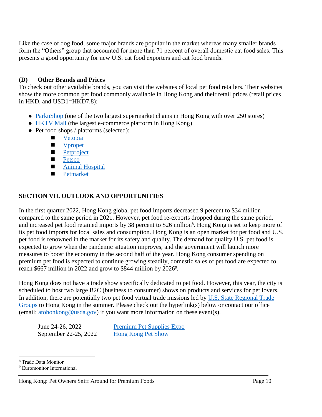Like the case of dog food, some major brands are popular in the market whereas many smaller brands form the "Others" group that accounted for more than 71 percent of overall domestic cat food sales. This presents a good opportunity for new U.S. cat food exporters and cat food brands.

## **(D) Other Brands and Prices**

To check out other available brands, you can visit the websites of local pet food retailers. Their websites show the more common pet food commonly available in Hong Kong and their retail prices (retail prices in HKD, and USD1=HKD7.8):

- [ParknShop](https://www.parknshop.com/en/pet-food-care/lc/210000) (one of the two largest supermarket chains in Hong Kong with over 250 stores)
- [HKTV Mall](https://www.hktvmall.com/hktv/en/main/search?q=%3Arelevance%3Astreet%3Amain%3Acategory%3AAA11960000000) (the largest e-commerce platform in Hong Kong)
- Pet food shops / platforms (selected):
	- **[Vetopia](https://www.vetopia.com.hk/)**
	- **New Ypropet**
	- **[Petproject](https://petproject.hk/)**
	- **[Petsco](https://www.petsco.com.hk/?locale=en)**
	- **[Animal Hospital](https://www.animalhospital.com.hk/shop/)**
	- **[Petmarket](https://www.petmarket.com.hk/en/?gclid=EAIaIQobChMI-a6izZG79gIVV1tgCh12HARvEAAYAyAAEgJoj_D_BwE)**

## **SECTION VII. OUTLOOK AND OPPORTUNITIES**

In the first quarter 2022, Hong Kong global pet food imports decreased 9 percent to \$34 million compared to the same period in 2021. However, pet food re-exports dropped during the same period, and increased pet food retained imports by 38 percent to \$26 million<sup>8</sup>. Hong Kong is set to keep more of its pet food imports for local sales and consumption. Hong Kong is an open market for pet food and U.S. pet food is renowned in the market for its safety and quality. The demand for quality U.S. pet food is expected to grow when the pandemic situation improves, and the government will launch more measures to boost the economy in the second half of the year. Hong Kong consumer spending on premium pet food is expected to continue growing steadily, domestic sales of pet food are expected to reach \$667 million in 2022 and grow to \$844 million by 2026<sup>9</sup>.

Hong Kong does not have a trade show specifically dedicated to pet food. However, this year, the city is scheduled to host two large B2C (business to consumer) shows on products and services for pet lovers. In addition, there are potentially two pet food virtual trade missions led by U.S. State Regional Trade [Groups](https://www.fas.usda.gov/state-regional-trade-groups) to Hong Kong in the summer. Please check out the hyperlink(s) below or contact our office (email: [atohonkong@usda.gov\)](mailto:atohonkong@usda.gov) if you want more information on these event(s).

June 24-26, 2022 [Premium Pet Supplies Expo](https://www.exhibitiongroup.com.hk/en/exb_sub.php?nid=102) September 22-25, 2022 [Hong Kong Pet Show](http://www.petshow.com.hk/en/)

<sup>8</sup> Trade Data Monitor

<sup>9</sup> Euromonitor International

Hong Kong: Pet Owners Sniff Around for Premium Foods Page 10